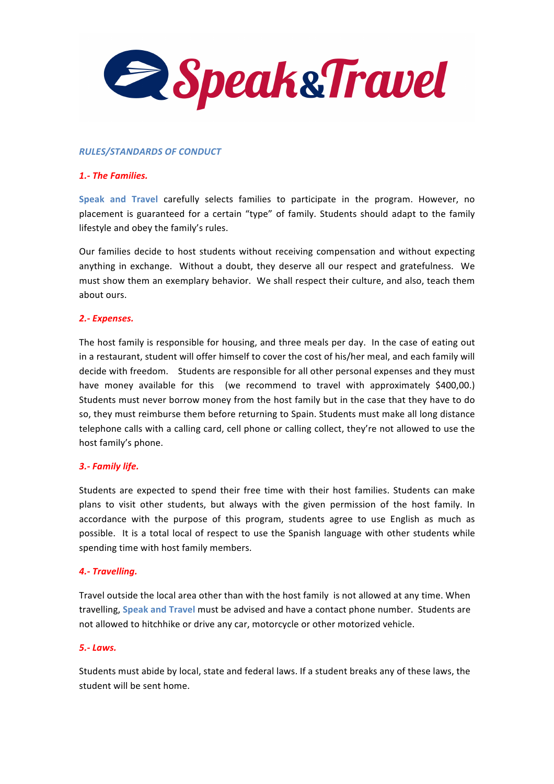

### *RULES/STANDARDS!OF!CONDUCT*

### **1.- The Families.**

Speak and Travel carefully selects families to participate in the program. However, no placement is guaranteed for a certain "type" of family. Students should adapt to the family lifestyle and obey the family's rules.

Our families decide to host students without receiving compensation and without expecting anything in exchange. Without a doubt, they deserve all our respect and gratefulness. We must show them an exemplary behavior. We shall respect their culture, and also, teach them about ours.

### **2.**- Expenses.

The host family is responsible for housing, and three meals per day. In the case of eating out in a restaurant, student will offer himself to cover the cost of his/her meal, and each family will decide with freedom. Students are responsible for all other personal expenses and they must have money available for this (we recommend to travel with approximately \$400,00.) Students must never borrow money from the host family but in the case that they have to do so, they must reimburse them before returning to Spain. Students must make all long distance telephone calls with a calling card, cell phone or calling collect, they're not allowed to use the host family's phone.

## **3.- Family life.**

Students are expected to spend their free time with their host families. Students can make plans to visit other students, but always with the given permission of the host family. In accordance with the purpose of this program, students agree to use English as much as possible. It is a total local of respect to use the Spanish language with other students while spending time with host family members.

## **4.- Travelling.**

Travel outside the local area other than with the host family is not allowed at any time. When travelling, Speak and Travel must be advised and have a contact phone number. Students are not allowed to hitchhike or drive any car, motorcycle or other motorized vehicle.

#### *5.1 Laws.!*

Students must abide by local, state and federal laws. If a student breaks any of these laws, the student will be sent home.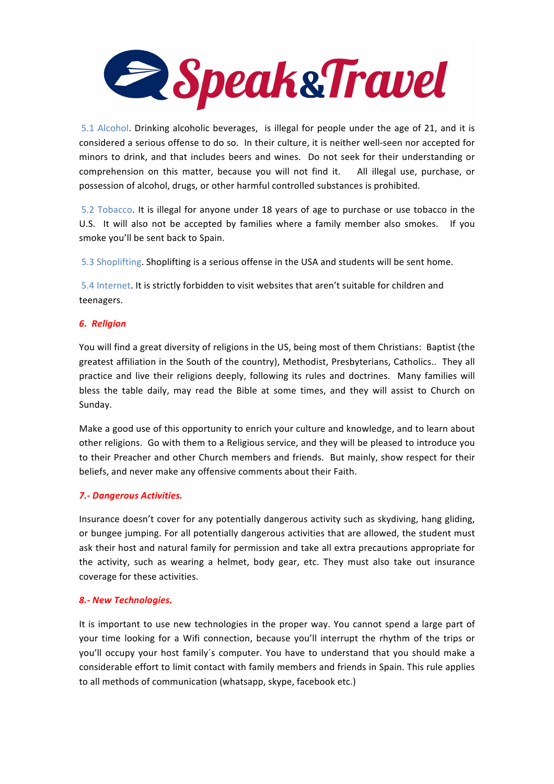

5.1 Alcohol. Drinking alcoholic beverages, is illegal for people under the age of 21, and it is considered a serious offense to do so. In their culture, it is neither well-seen nor accepted for minors to drink, and that includes beers and wines. Do not seek for their understanding or comprehension! on! this! matter,! because! you! will! not! find! it.! ! ! All! illegal! use,! purchase,! or! possession of alcohol, drugs, or other harmful controlled substances is prohibited.

5.2 Tobacco. It is illegal for anyone under 18 years of age to purchase or use tobacco in the U.S. It will also not be accepted by families where a family member also smokes. If you smoke you'll be sent back to Spain.

5.3 Shoplifting. Shoplifting is a serious offense in the USA and students will be sent home.

5.4 Internet. It is strictly forbidden to visit websites that aren't suitable for children and teenagers.

# *6.!!Religion*

You will find a great diversity of religions in the US, being most of them Christians: Baptist (the greatest affiliation in the South of the country), Methodist, Presbyterians, Catholics.. They all practice and live their religions deeply, following its rules and doctrines. Many families will bless the table daily, may read the Bible at some times, and they will assist to Church on Sunday.

Make a good use of this opportunity to enrich your culture and knowledge, and to learn about other religions. Go with them to a Religious service, and they will be pleased to introduce you to their Preacher and other Church members and friends. But mainly, show respect for their beliefs, and never make any offensive comments about their Faith.

## *7.1 Dangerous!Activities.!*

Insurance doesn't cover for any potentially dangerous activity such as skydiving, hang gliding, or bungee jumping. For all potentially dangerous activities that are allowed, the student must ask their host and natural family for permission and take all extra precautions appropriate for the activity, such as wearing a helmet, body gear, etc. They must also take out insurance coverage for these activities.

# *8.1 New!Technologies.!*

It is important to use new technologies in the proper way. You cannot spend a large part of your time looking for a Wifi connection, because you'll interrupt the rhythm of the trips or you'll occupy your host family's computer. You have to understand that you should make a considerable effort to limit contact with family members and friends in Spain. This rule applies to all methods of communication (whatsapp, skype, facebook etc.)